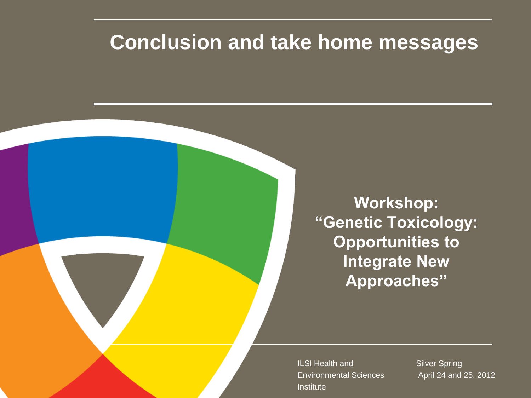#### **Conclusion and take home messages**

**Workshop: "Genetic Toxicology: Opportunities to Integrate New Approaches"**

ILSI Health and Environmental Sciences **Institute** 

Silver Spring April 24 and 25, 2012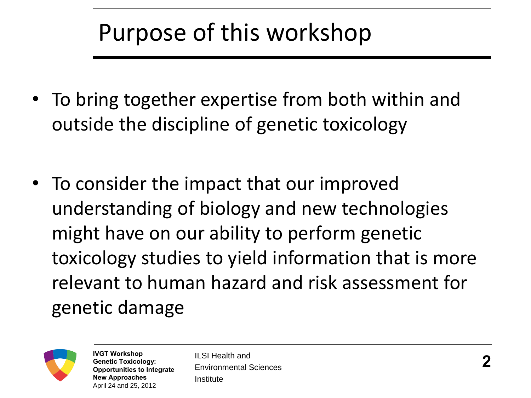## Purpose of this workshop

- To bring together expertise from both within and outside the discipline of genetic toxicology
- To consider the impact that our improved understanding of biology and new technologies might have on our ability to perform genetic toxicology studies to yield information that is more relevant to human hazard and risk assessment for genetic damage



**IVGT Workshop Genetic Toxicology: Opportunities to Integrate New Approaches**  April 24 and 25, 2012

ILSI Health and Environmental Sciences Institute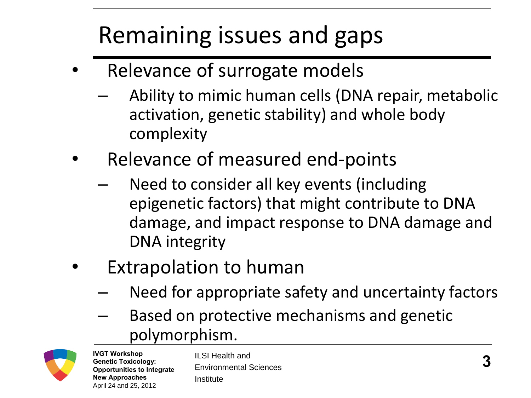# Remaining issues and gaps

- Relevance of surrogate models
	- Ability to mimic human cells (DNA repair, metabolic activation, genetic stability) and whole body complexity
- Relevance of measured end-points
	- Need to consider all key events (including epigenetic factors) that might contribute to DNA damage, and impact response to DNA damage and DNA integrity
- **Extrapolation to human** 
	- Need for appropriate safety and uncertainty factors
	- Based on protective mechanisms and genetic polymorphism.



**IVGT Workshop Genetic Toxicology: Opportunities to Integrate New Approaches**  April 24 and 25, 2012

ILSI Health and Environmental Sciences Institute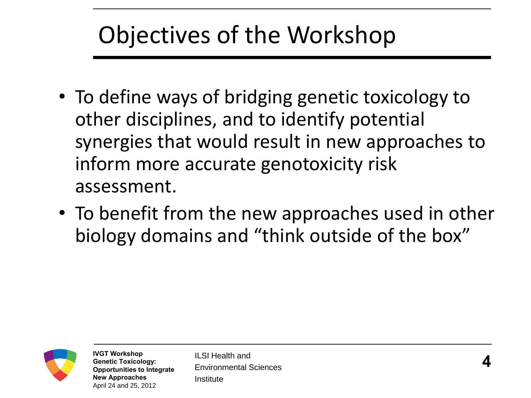## Objectives of the Workshop

- To define ways of bridging genetic toxicology to other disciplines, and to identify potential synergies that would result in new approaches to inform more accurate genotoxicity risk assessment.
- To benefit from the new approaches used in other biology domains and "think outside of the box"



**IVGT Workshop Genetic Toxicology: Opportunities to Integrate New Approaches**  April 24 and 25, 2012

ILSI Health and Environmental Sciences Institute